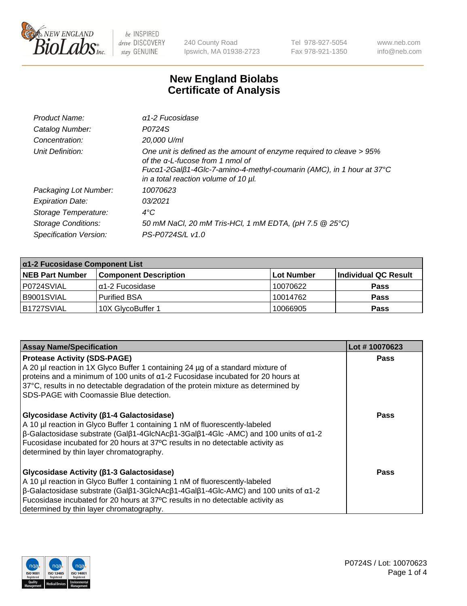

240 County Road Ipswich, MA 01938-2723 Tel 978-927-5054 Fax 978-921-1350 www.neb.com info@neb.com

## **New England Biolabs Certificate of Analysis**

| Product Name:              | $\alpha$ 1-2 Fucosidase                                                                                                                                                                                                               |
|----------------------------|---------------------------------------------------------------------------------------------------------------------------------------------------------------------------------------------------------------------------------------|
| Catalog Number:            | P0724S                                                                                                                                                                                                                                |
| Concentration:             | 20,000 U/ml                                                                                                                                                                                                                           |
| Unit Definition:           | One unit is defined as the amount of enzyme required to cleave > 95%<br>of the $\alpha$ -L-fucose from 1 nmol of<br>Fucα1-2Galβ1-4Glc-7-amino-4-methyl-coumarin (AMC), in 1 hour at 37°C<br>in a total reaction volume of 10 $\mu$ l. |
| Packaging Lot Number:      | 10070623                                                                                                                                                                                                                              |
| <b>Expiration Date:</b>    | 03/2021                                                                                                                                                                                                                               |
| Storage Temperature:       | $4^{\circ}$ C                                                                                                                                                                                                                         |
| <b>Storage Conditions:</b> | 50 mM NaCl, 20 mM Tris-HCl, 1 mM EDTA, (pH 7.5 @ 25°C)                                                                                                                                                                                |
| Specification Version:     | PS-P0724S/L v1.0                                                                                                                                                                                                                      |

| $\alpha$ 1-2 Fucosidase Component List |                              |            |                      |  |
|----------------------------------------|------------------------------|------------|----------------------|--|
| <b>NEB Part Number</b>                 | <b>Component Description</b> | Lot Number | Individual QC Result |  |
| P0724SVIAL                             | α1-2 Fucosidase              | 10070622   | <b>Pass</b>          |  |
| B9001SVIAL                             | <b>Purified BSA</b>          | 10014762   | <b>Pass</b>          |  |
| IB1727SVIAL                            | 10X GlycoBuffer 1            | 10066905   | <b>Pass</b>          |  |

| <b>Assay Name/Specification</b>                                                                                                                                                                                                                                                                                                                                                            | Lot #10070623 |
|--------------------------------------------------------------------------------------------------------------------------------------------------------------------------------------------------------------------------------------------------------------------------------------------------------------------------------------------------------------------------------------------|---------------|
| <b>Protease Activity (SDS-PAGE)</b><br>A 20 µl reaction in 1X Glyco Buffer 1 containing 24 µg of a standard mixture of<br>proteins and a minimum of 100 units of $\alpha$ 1-2 Fucosidase incubated for 20 hours at<br>37°C, results in no detectable degradation of the protein mixture as determined by<br>SDS-PAGE with Coomassie Blue detection.                                        | <b>Pass</b>   |
| <b>Glycosidase Activity (β1-4 Galactosidase)</b><br>A 10 µl reaction in Glyco Buffer 1 containing 1 nM of fluorescently-labeled<br>$\beta$ -Galactosidase substrate (Gal $\beta$ 1-4GlcNAc $\beta$ 1-3Gal $\beta$ 1-4Glc -AMC) and 100 units of $\alpha$ 1-2<br>Fucosidase incubated for 20 hours at 37°C results in no detectable activity as<br>determined by thin layer chromatography. | Pass          |
| Glycosidase Activity (β1-3 Galactosidase)<br>A 10 µl reaction in Glyco Buffer 1 containing 1 nM of fluorescently-labeled<br>$\beta$ -Galactosidase substrate (Galβ1-3GlcNAcβ1-4Galβ1-4Glc-AMC) and 100 units of α1-2<br>Fucosidase incubated for 20 hours at 37°C results in no detectable activity as<br>determined by thin layer chromatography.                                         | Pass          |

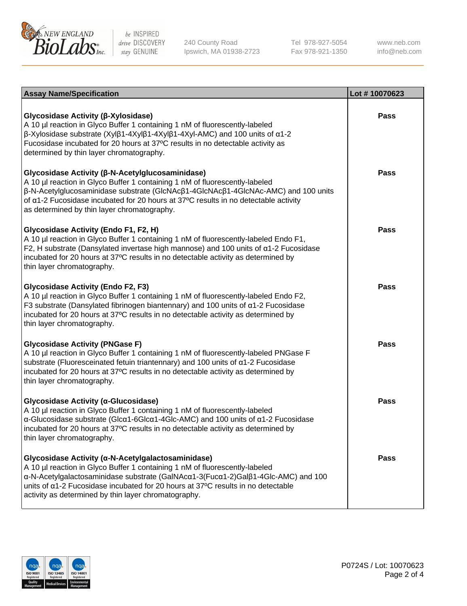

240 County Road Ipswich, MA 01938-2723 Tel 978-927-5054 Fax 978-921-1350

www.neb.com info@neb.com

| <b>Assay Name/Specification</b>                                                                                                                                                                                                                                                                                                                                     | Lot #10070623 |
|---------------------------------------------------------------------------------------------------------------------------------------------------------------------------------------------------------------------------------------------------------------------------------------------------------------------------------------------------------------------|---------------|
| Glycosidase Activity (β-Xylosidase)<br>A 10 µl reaction in Glyco Buffer 1 containing 1 nM of fluorescently-labeled<br>$\beta$ -Xylosidase substrate (Xylβ1-4Xylβ1-4Xylβ1-4Xyl-AMC) and 100 units of $\alpha$ 1-2<br>Fucosidase incubated for 20 hours at 37°C results in no detectable activity as<br>determined by thin layer chromatography.                      | <b>Pass</b>   |
| Glycosidase Activity (β-N-Acetylglucosaminidase)<br>A 10 µl reaction in Glyco Buffer 1 containing 1 nM of fluorescently-labeled<br>β-N-Acetylglucosaminidase substrate (GlcNAcβ1-4GlcNAcβ1-4GlcNAc-AMC) and 100 units<br>of $\alpha$ 1-2 Fucosidase incubated for 20 hours at 37°C results in no detectable activity<br>as determined by thin layer chromatography. | <b>Pass</b>   |
| Glycosidase Activity (Endo F1, F2, H)<br>A 10 µl reaction in Glyco Buffer 1 containing 1 nM of fluorescently-labeled Endo F1,<br>F2, H substrate (Dansylated invertase high mannose) and 100 units of a1-2 Fucosidase<br>incubated for 20 hours at 37°C results in no detectable activity as determined by<br>thin layer chromatography.                            | <b>Pass</b>   |
| <b>Glycosidase Activity (Endo F2, F3)</b><br>A 10 µl reaction in Glyco Buffer 1 containing 1 nM of fluorescently-labeled Endo F2,<br>F3 substrate (Dansylated fibrinogen biantennary) and 100 units of $\alpha$ 1-2 Fucosidase<br>incubated for 20 hours at 37°C results in no detectable activity as determined by<br>thin layer chromatography.                   | <b>Pass</b>   |
| <b>Glycosidase Activity (PNGase F)</b><br>A 10 µl reaction in Glyco Buffer 1 containing 1 nM of fluorescently-labeled PNGase F<br>substrate (Fluoresceinated fetuin triantennary) and 100 units of a1-2 Fucosidase<br>incubated for 20 hours at 37°C results in no detectable activity as determined by<br>thin layer chromatography.                               | <b>Pass</b>   |
| Glycosidase Activity (a-Glucosidase)<br>A 10 µl reaction in Glyco Buffer 1 containing 1 nM of fluorescently-labeled<br>α-Glucosidase substrate (Glcα1-6Glcα1-4Glc-AMC) and 100 units of α1-2 Fucosidase<br>incubated for 20 hours at 37°C results in no detectable activity as determined by<br>thin layer chromatography.                                          | <b>Pass</b>   |
| Glycosidase Activity (α-N-Acetylgalactosaminidase)<br>A 10 µl reaction in Glyco Buffer 1 containing 1 nM of fluorescently-labeled<br>α-N-Acetylgalactosaminidase substrate (GalNAcα1-3(Fucα1-2)Galβ1-4Glc-AMC) and 100<br>units of a1-2 Fucosidase incubated for 20 hours at 37°C results in no detectable<br>activity as determined by thin layer chromatography.  | Pass          |

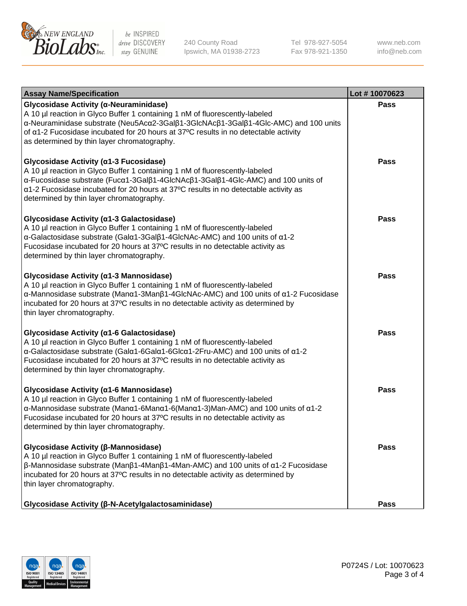

240 County Road Ipswich, MA 01938-2723 Tel 978-927-5054 Fax 978-921-1350

www.neb.com info@neb.com

| <b>Assay Name/Specification</b>                                                                                                                                                                                                                                                                                                                            | Lot #10070623 |
|------------------------------------------------------------------------------------------------------------------------------------------------------------------------------------------------------------------------------------------------------------------------------------------------------------------------------------------------------------|---------------|
| Glycosidase Activity (α-Neuraminidase)<br>A 10 µl reaction in Glyco Buffer 1 containing 1 nM of fluorescently-labeled<br>α-Neuraminidase substrate (Neu5Acα2-3Galβ1-3GlcNAcβ1-3Galβ1-4Glc-AMC) and 100 units<br>of $\alpha$ 1-2 Fucosidase incubated for 20 hours at 37°C results in no detectable activity<br>as determined by thin layer chromatography. | <b>Pass</b>   |
| Glycosidase Activity (α1-3 Fucosidase)<br>A 10 µl reaction in Glyco Buffer 1 containing 1 nM of fluorescently-labeled<br>α-Fucosidase substrate (Fucα1-3Galβ1-4GlcNAcβ1-3Galβ1-4Glc-AMC) and 100 units of<br>a1-2 Fucosidase incubated for 20 hours at 37°C results in no detectable activity as<br>determined by thin layer chromatography.               | <b>Pass</b>   |
| Glycosidase Activity (α1-3 Galactosidase)<br>A 10 µl reaction in Glyco Buffer 1 containing 1 nM of fluorescently-labeled<br>α-Galactosidase substrate (Galα1-3Galβ1-4GlcNAc-AMC) and 100 units of α1-2<br>Fucosidase incubated for 20 hours at 37°C results in no detectable activity as<br>determined by thin layer chromatography.                       | <b>Pass</b>   |
| Glycosidase Activity (α1-3 Mannosidase)<br>A 10 µl reaction in Glyco Buffer 1 containing 1 nM of fluorescently-labeled<br>α-Mannosidase substrate (Μanα1-3Μanβ1-4GlcNAc-AMC) and 100 units of α1-2 Fucosidase<br>incubated for 20 hours at 37°C results in no detectable activity as determined by<br>thin layer chromatography.                           | <b>Pass</b>   |
| Glycosidase Activity (a1-6 Galactosidase)<br>A 10 µl reaction in Glyco Buffer 1 containing 1 nM of fluorescently-labeled<br>α-Galactosidase substrate (Galα1-6Galα1-6Glcα1-2Fru-AMC) and 100 units of α1-2<br>Fucosidase incubated for 20 hours at 37°C results in no detectable activity as<br>determined by thin layer chromatography.                   | <b>Pass</b>   |
| Glycosidase Activity (α1-6 Mannosidase)<br>A 10 µl reaction in Glyco Buffer 1 containing 1 nM of fluorescently-labeled<br>α-Mannosidase substrate (Μanα1-6Μanα1-6(Μanα1-3)Man-AMC) and 100 units of α1-2<br>Fucosidase incubated for 20 hours at 37°C results in no detectable activity as<br>determined by thin layer chromatography.                     | <b>Pass</b>   |
| Glycosidase Activity (β-Mannosidase)<br>A 10 µl reaction in Glyco Buffer 1 containing 1 nM of fluorescently-labeled<br>$\beta$ -Mannosidase substrate (Man $\beta$ 1-4Man $\beta$ 1-4Man-AMC) and 100 units of $\alpha$ 1-2 Fucosidase<br>incubated for 20 hours at 37°C results in no detectable activity as determined by<br>thin layer chromatography.  | Pass          |
| Glycosidase Activity (β-N-Acetylgalactosaminidase)                                                                                                                                                                                                                                                                                                         | <b>Pass</b>   |